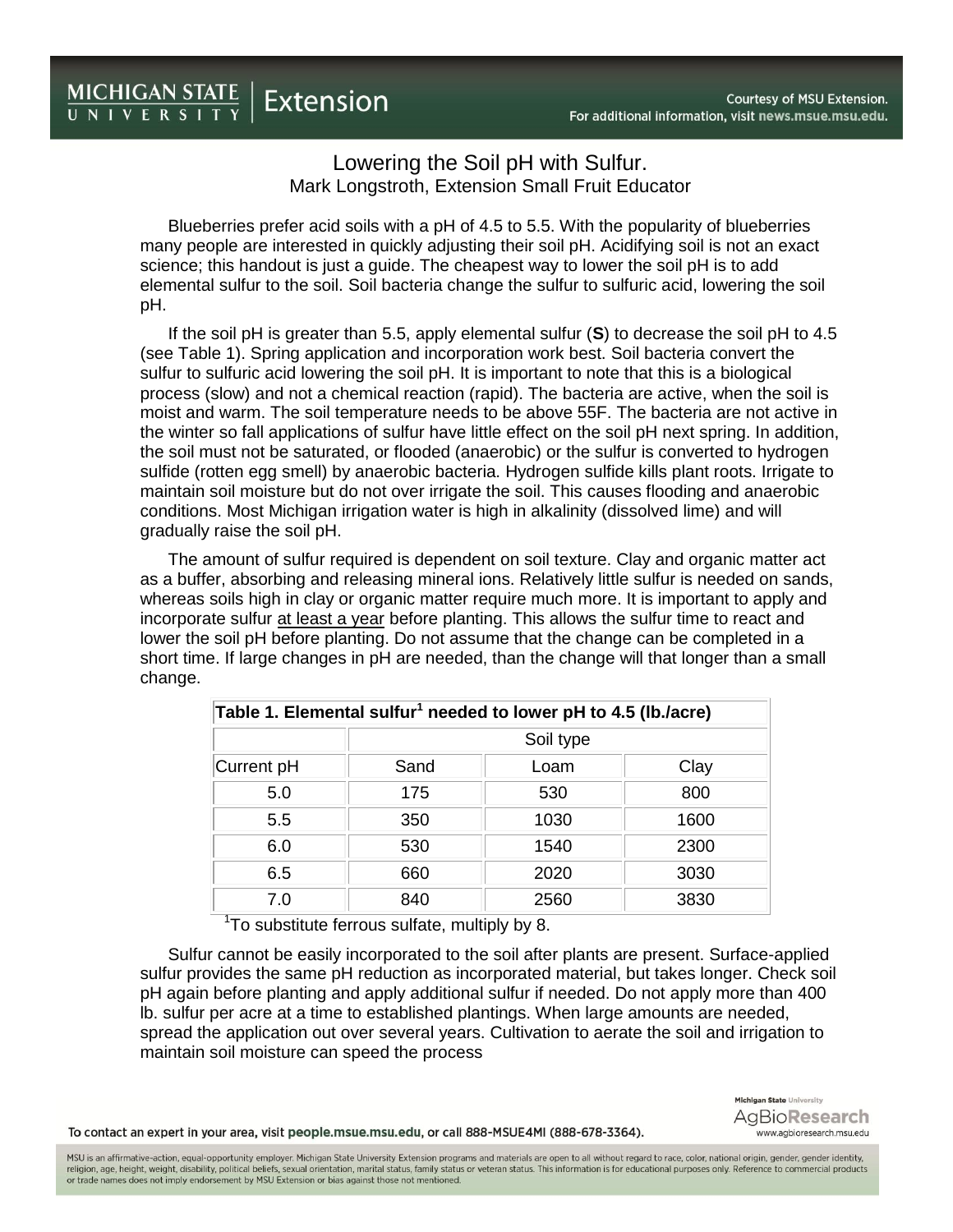## Lowering the Soil pH with Sulfur. Mark Longstroth, Extension Small Fruit Educator

Blueberries prefer acid soils with a pH of 4.5 to 5.5. With the popularity of blueberries many people are interested in quickly adjusting their soil pH. Acidifying soil is not an exact science; this handout is just a guide. The cheapest way to lower the soil pH is to add elemental sulfur to the soil. Soil bacteria change the sulfur to sulfuric acid, lowering the soil pH.

If the soil pH is greater than 5.5, apply elemental sulfur (**S**) to decrease the soil pH to 4.5 (see Table 1). Spring application and incorporation work best. Soil bacteria convert the sulfur to sulfuric acid lowering the soil pH. It is important to note that this is a biological process (slow) and not a chemical reaction (rapid). The bacteria are active, when the soil is moist and warm. The soil temperature needs to be above 55F. The bacteria are not active in the winter so fall applications of sulfur have little effect on the soil pH next spring. In addition, the soil must not be saturated, or flooded (anaerobic) or the sulfur is converted to hydrogen sulfide (rotten egg smell) by anaerobic bacteria. Hydrogen sulfide kills plant roots. Irrigate to maintain soil moisture but do not over irrigate the soil. This causes flooding and anaerobic conditions. Most Michigan irrigation water is high in alkalinity (dissolved lime) and will gradually raise the soil pH.

The amount of sulfur required is dependent on soil texture. Clay and organic matter act as a buffer, absorbing and releasing mineral ions. Relatively little sulfur is needed on sands, whereas soils high in clay or organic matter require much more. It is important to apply and incorporate sulfur at least a year before planting. This allows the sulfur time to react and lower the soil pH before planting. Do not assume that the change can be completed in a short time. If large changes in pH are needed, than the change will that longer than a small change.

| Table 1. Elemental sulfur <sup>1</sup> needed to lower pH to 4.5 (lb./acre) |           |      |      |
|-----------------------------------------------------------------------------|-----------|------|------|
|                                                                             | Soil type |      |      |
| Current pH                                                                  | Sand      | Loam | Clay |
| 5.0                                                                         | 175       | 530  | 800  |
| 5.5                                                                         | 350       | 1030 | 1600 |
| 6.0                                                                         | 530       | 1540 | 2300 |
| 6.5                                                                         | 660       | 2020 | 3030 |
| 7.0                                                                         | 840       | 2560 | 3830 |

<sup>1</sup>To substitute ferrous sulfate, multiply by 8.

Sulfur cannot be easily incorporated to the soil after plants are present. Surface-applied sulfur provides the same pH reduction as incorporated material, but takes longer. Check soil pH again before planting and apply additional sulfur if needed. Do not apply more than 400 lb. sulfur per acre at a time to established plantings. When large amounts are needed, spread the application out over several years. Cultivation to aerate the soil and irrigation to maintain soil moisture can speed the process

To contact an expert in your area, visit people.msue.msu.edu, or call 888-MSUE4MI (888-678-3364).

Michigan State University AgBioResearch www.agbioresearch.msu.edu

MSU is an affirmative-action, equal-opportunity employer. Michigan State University Extension programs and materials are open to all without regard to race, color, national origin, gender, gender identity, religion, age, height, weight, disability, political beliefs, sexual orientation, marital status, family status or veteran status. This information is for educational purposes only. Reference to commercial products or trade names does not imply endorsement by MSU Extension or bias against those not mentioned.